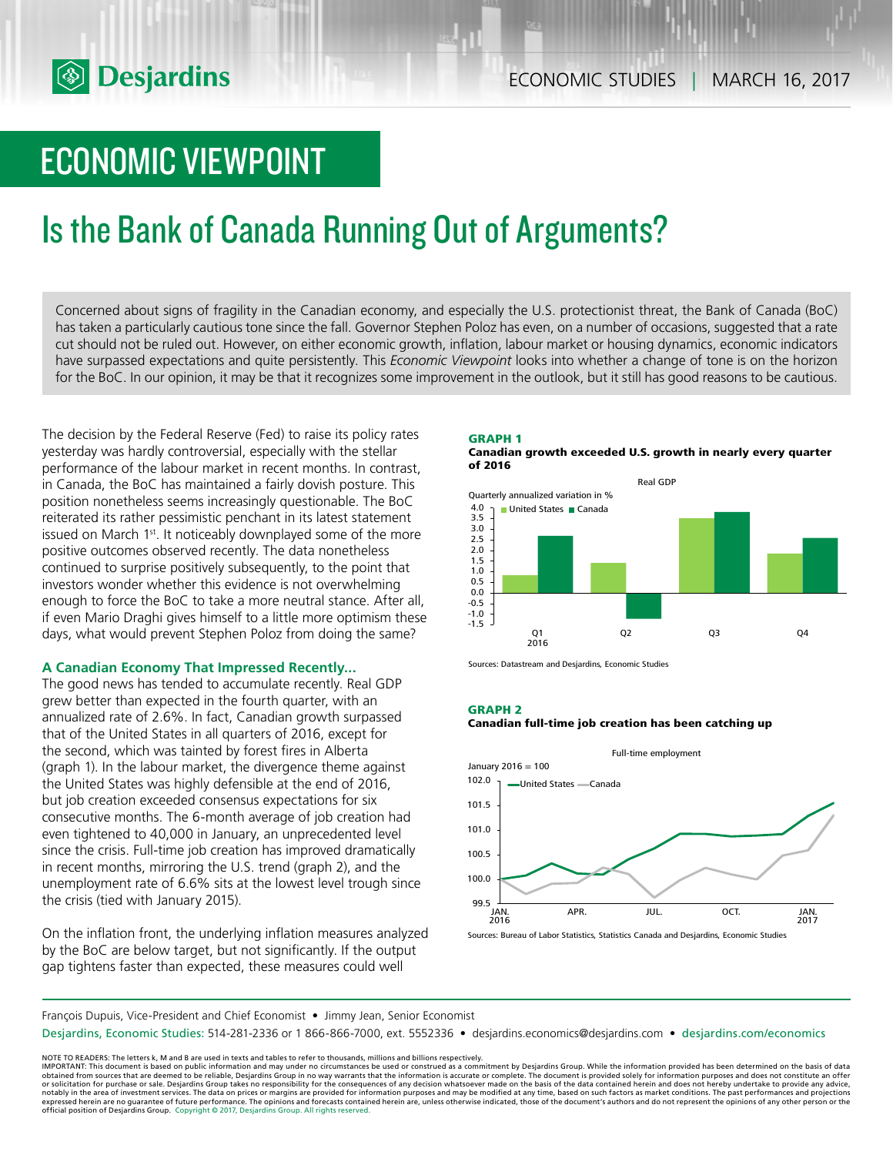# ECONOMIC VIEWPOINT

# Is the Bank of Canada Running Out of Arguments?

Concerned about signs of fragility in the Canadian economy, and especially the U.S. protectionist threat, the Bank of Canada (BoC) has taken a particularly cautious tone since the fall. Governor Stephen Poloz has even, on a number of occasions, suggested that a rate cut should not be ruled out. However, on either economic growth, inflation, labour market or housing dynamics, economic indicators have surpassed expectations and quite persistently. This *Economic Viewpoint* looks into whether a change of tone is on the horizon for the BoC. In our opinion, it may be that it recognizes some improvement in the outlook, but it still has good reasons to be cautious.

The decision by the Federal Reserve (Fed) to raise its policy rates yesterday was hardly controversial, especially with the stellar performance of the labour market in recent months. In contrast, in Canada, the BoC has maintained a fairly dovish posture. This position nonetheless seems increasingly questionable. The BoC reiterated its rather pessimistic penchant in its latest statement issued on March 1<sup>st</sup>. It noticeably downplayed some of the more positive outcomes observed recently. The data nonetheless continued to surprise positively subsequently, to the point that investors wonder whether this evidence is not overwhelming enough to force the BoC to take a more neutral stance. After all, if even Mario Draghi gives himself to a little more optimism these days, what would prevent Stephen Poloz from doing the same?

## **A Canadian Economy That Impressed Recently...**

The good news has tended to accumulate recently. Real GDP grew better than expected in the fourth quarter, with an annualized rate of 2.6%. In fact, Canadian growth surpassed that of the United States in all quarters of 2016, except for the second, which was tainted by forest fires in Alberta (graph 1). In the labour market, the divergence theme against the United States was highly defensible at the end of 2016, but job creation exceeded consensus expectations for six consecutive months. The 6-month average of job creation had even tightened to 40,000 in January, an unprecedented level since the crisis. Full-time job creation has improved dramatically in recent months, mirroring the U.S. trend (graph 2), and the unemployment rate of 6.6% sits at the lowest level trough since the crisis (tied with January 2015).

On the inflation front, the underlying inflation measures analyzed by the BoC are below target, but not significantly. If the output gap tightens faster than expected, these measures could well





Sources: Datastream and Desjardins, Economic Studies

#### **GRAPH 2**





François Dupuis, Vice-President and Chief Economist • Jimmy Jean, Senior Economist

Desjardins, Economic Studies: 514-281-2336 or 1 866-866-7000, ext. 5552336 • desjardins.economics@desjardins.com • desjardins.com/economics

NOTE TO READERS: The letters k, M and B are used in texts and tables to refer to thousands, millions and billions respectively.<br>IMPORTANT: This document is based on public information and may under no circumstances be used obtained from sources that are deemed to be reliable, Desjardins Group in no way warrants that the information is accurate or complete. The document is provided solely for information purposes and does not constitute an of expressed herein are no guarantee of future performance. The opinions and forecasts contained herein are, unless otherwise indicated, those of the document's authors and do not represent the opinions of any other person or official position of Desjardins Group. Copyright © 2017, Desjardins Group. All rights reserved.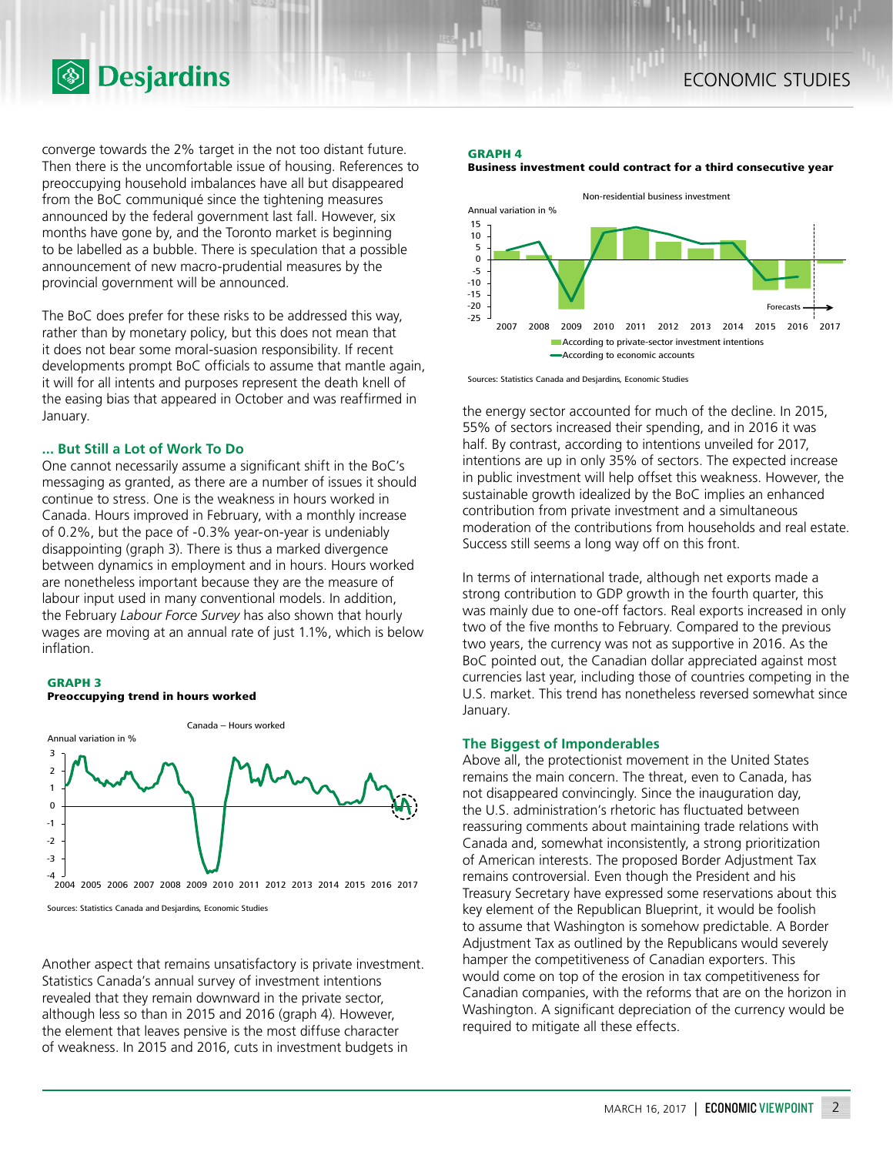

**<sup><sup>5</sup>** Desjardins</sup>

converge towards the 2% target in the not too distant future. Then there is the uncomfortable issue of housing. References to preoccupying household imbalances have all but disappeared from the BoC communiqué since the tightening measures announced by the federal government last fall. However, six months have gone by, and the Toronto market is beginning to be labelled as a bubble. There is speculation that a possible announcement of new macro-prudential measures by the provincial government will be announced.

The BoC does prefer for these risks to be addressed this way, rather than by monetary policy, but this does not mean that it does not bear some moral-suasion responsibility. If recent developments prompt BoC officials to assume that mantle again, it will for all intents and purposes represent the death knell of the easing bias that appeared in October and was reaffirmed in January.

### **... But Still a Lot of Work To Do**

One cannot necessarily assume a significant shift in the BoC's messaging as granted, as there are a number of issues it should continue to stress. One is the weakness in hours worked in Canada. Hours improved in February, with a monthly increase of 0.2%, but the pace of -0.3% year-on-year is undeniably disappointing (graph 3). There is thus a marked divergence between dynamics in employment and in hours. Hours worked are nonetheless important because they are the measure of labour input used in many conventional models. In addition, the February *Labour Force Survey* has also shown that hourly wages are moving at an annual rate of just 1.1%, which is below inflation.

#### **GRAPH 3 Preoccupying trend in hours worked**



Sources: Statistics Canada and Desjardins, Economic Studies

Another aspect that remains unsatisfactory is private investment. Statistics Canada's annual survey of investment intentions revealed that they remain downward in the private sector, although less so than in 2015 and 2016 (graph 4). However, the element that leaves pensive is the most diffuse character of weakness. In 2015 and 2016, cuts in investment budgets in

#### **GRAPH 4**





Sources: Statistics Canada and Desjardins, Economic Studies

the energy sector accounted for much of the decline. In 2015, 55% of sectors increased their spending, and in 2016 it was half. By contrast, according to intentions unveiled for 2017, intentions are up in only 35% of sectors. The expected increase in public investment will help offset this weakness. However, the sustainable growth idealized by the BoC implies an enhanced contribution from private investment and a simultaneous moderation of the contributions from households and real estate. Success still seems a long way off on this front.

In terms of international trade, although net exports made a strong contribution to GDP growth in the fourth quarter, this was mainly due to one-off factors. Real exports increased in only two of the five months to February. Compared to the previous two years, the currency was not as supportive in 2016. As the BoC pointed out, the Canadian dollar appreciated against most currencies last year, including those of countries competing in the U.S. market. This trend has nonetheless reversed somewhat since January.

### **The Biggest of Imponderables**

Above all, the protectionist movement in the United States remains the main concern. The threat, even to Canada, has not disappeared convincingly. Since the inauguration day, the U.S. administration's rhetoric has fluctuated between reassuring comments about maintaining trade relations with Canada and, somewhat inconsistently, a strong prioritization of American interests. The proposed Border Adjustment Tax remains controversial. Even though the President and his Treasury Secretary have expressed some reservations about this key element of the Republican Blueprint, it would be foolish to assume that Washington is somehow predictable. A Border Adjustment Tax as outlined by the Republicans would severely hamper the competitiveness of Canadian exporters. This would come on top of the erosion in tax competitiveness for Canadian companies, with the reforms that are on the horizon in Washington. A significant depreciation of the currency would be required to mitigate all these effects.